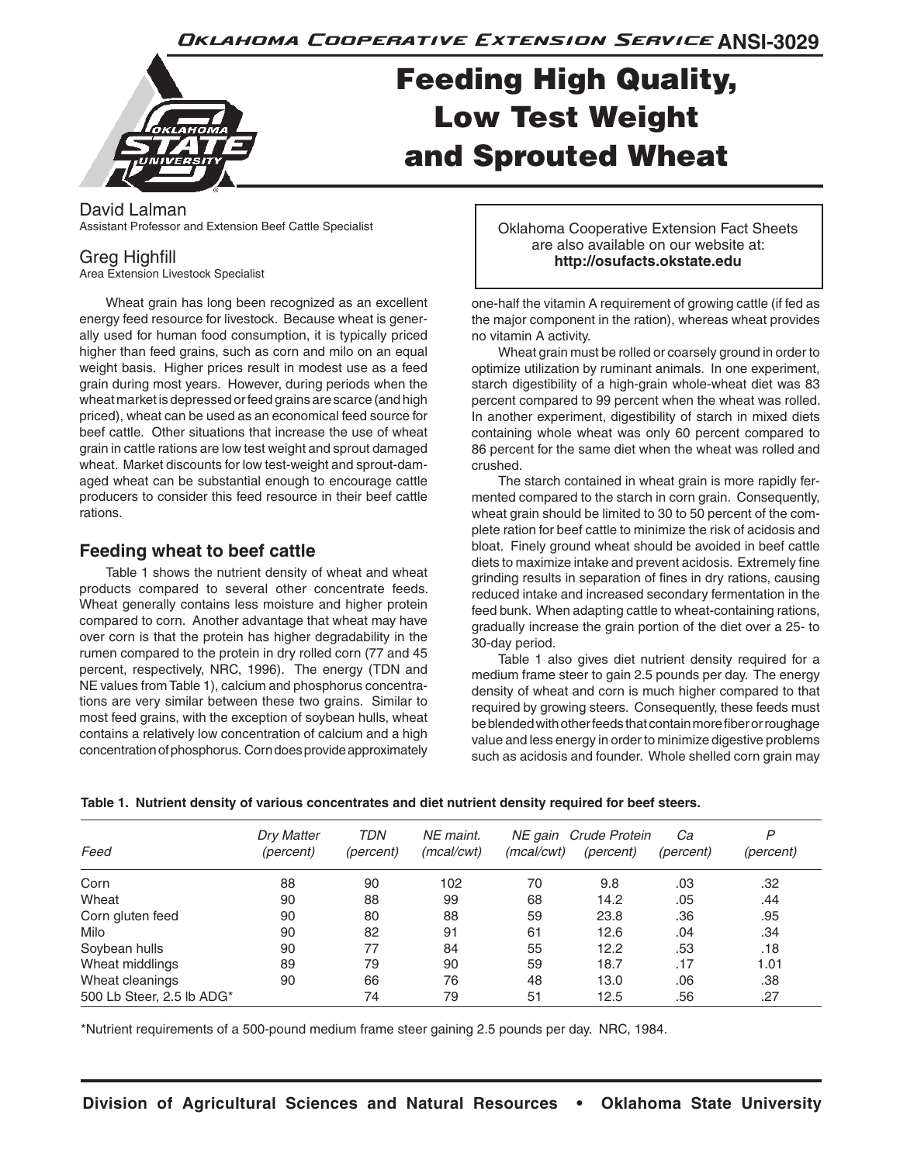Oklahoma Cooperative Extension Service ANSI-3029

# Feeding High Quality, Low Test Weight and Sprouted Wheat

#### David Lalman Assistant Professor and Extension Beef Cattle Specialist

## Greg Highfill

Area Extension Livestock Specialist

Wheat grain has long been recognized as an excellent energy feed resource for livestock. Because wheat is generally used for human food consumption, it is typically priced higher than feed grains, such as corn and milo on an equal weight basis. Higher prices result in modest use as a feed grain during most years. However, during periods when the wheat market is depressed or feed grains are scarce (and high priced), wheat can be used as an economical feed source for beef cattle. Other situations that increase the use of wheat grain in cattle rations are low test weight and sprout damaged wheat. Market discounts for low test-weight and sprout-damaged wheat can be substantial enough to encourage cattle producers to consider this feed resource in their beef cattle rations.

## **Feeding wheat to beef cattle**

Table 1 shows the nutrient density of wheat and wheat products compared to several other concentrate feeds. Wheat generally contains less moisture and higher protein compared to corn. Another advantage that wheat may have over corn is that the protein has higher degradability in the rumen compared to the protein in dry rolled corn (77 and 45 percent, respectively, NRC, 1996). The energy (TDN and NE values from Table 1), calcium and phosphorus concentrations are very similar between these two grains. Similar to most feed grains, with the exception of soybean hulls, wheat contains a relatively low concentration of calcium and a high concentration of phosphorus. Corn does provide approximately Oklahoma Cooperative Extension Fact Sheets are also available on our website at: **http://osufacts.okstate.edu**

one-half the vitamin A requirement of growing cattle (if fed as the major component in the ration), whereas wheat provides no vitamin A activity.

Wheat grain must be rolled or coarsely ground in order to optimize utilization by ruminant animals. In one experiment, starch digestibility of a high-grain whole-wheat diet was 83 percent compared to 99 percent when the wheat was rolled. In another experiment, digestibility of starch in mixed diets containing whole wheat was only 60 percent compared to 86 percent for the same diet when the wheat was rolled and crushed.

The starch contained in wheat grain is more rapidly fermented compared to the starch in corn grain. Consequently, wheat grain should be limited to 30 to 50 percent of the complete ration for beef cattle to minimize the risk of acidosis and bloat. Finely ground wheat should be avoided in beef cattle diets to maximize intake and prevent acidosis. Extremely fine grinding results in separation of fines in dry rations, causing reduced intake and increased secondary fermentation in the feed bunk. When adapting cattle to wheat-containing rations, gradually increase the grain portion of the diet over a 25- to 30-day period.

Table 1 also gives diet nutrient density required for a medium frame steer to gain 2.5 pounds per day. The energy density of wheat and corn is much higher compared to that required by growing steers. Consequently, these feeds must be blended with other feeds that contain more fiber or roughage value and less energy in order to minimize digestive problems such as acidosis and founder. Whole shelled corn grain may

|  |  |  |  | Table 1. Nutrient density of various concentrates and diet nutrient density required for beef steers. |  |  |  |  |  |
|--|--|--|--|-------------------------------------------------------------------------------------------------------|--|--|--|--|--|
|--|--|--|--|-------------------------------------------------------------------------------------------------------|--|--|--|--|--|

| Feed                      | <b>Dry Matter</b><br>(percent) | TDN<br>(percent) | NE maint.<br>(mcal/cwt) | (mcal/cwt) | NE gain Crude Protein<br>(percent) | Ca<br>(percent) | P<br>(percent) |
|---------------------------|--------------------------------|------------------|-------------------------|------------|------------------------------------|-----------------|----------------|
|                           |                                |                  |                         |            |                                    |                 |                |
| Corn                      | 88                             | 90               | 102                     | 70         | 9.8                                | .03             | .32            |
| Wheat                     | 90                             | 88               | 99                      | 68         | 14.2                               | .05             | .44            |
| Corn gluten feed          | 90                             | 80               | 88                      | 59         | 23.8                               | .36             | .95            |
| Milo                      | 90                             | 82               | 91                      | 61         | 12.6                               | .04             | .34            |
| Soybean hulls             | 90                             | 77               | 84                      | 55         | 12.2                               | .53             | .18            |
| Wheat middlings           | 89                             | 79               | 90                      | 59         | 18.7                               | .17             | 1.01           |
| Wheat cleanings           | 90                             | 66               | 76                      | 48         | 13.0                               | .06             | .38            |
| 500 Lb Steer, 2.5 lb ADG* |                                | 74               | 79                      | 51         | 12.5                               | .56             | .27            |

\*Nutrient requirements of a 500-pound medium frame steer gaining 2.5 pounds per day. NRC, 1984.